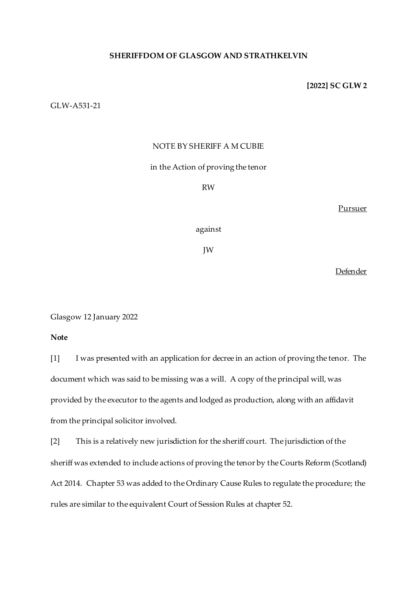## **SHERIFFDOM OF GLASGOW AND STRATHKELVIN**

#### **[2022] SC GLW 2**

# GLW-A531-21

## NOTE BY SHERIFF A M CUBIE

### in the Action of proving the tenor

RW

Pursuer

against

JW

Defender

Glasgow 12 January 2022

**Note**

[1] I was presented with an application for decree in an action of proving the tenor. The document which was said to be missing was a will. A copy of the principal will, was provided by the executor to the agents and lodged as production, along with an affidavit from the principal solicitor involved.

[2] This is a relatively new jurisdiction for the sheriff court. The jurisdiction of the sheriff was extended to include actions of proving the tenor by the Courts Reform (Scotland) Act 2014. Chapter 53 was added to the Ordinary Cause Rules to regulate the procedure; the rules are similar to the equivalent Court of Session Rules at chapter 52.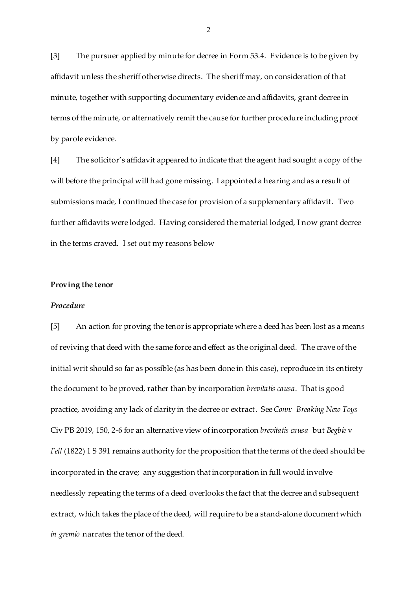[3] The pursuer applied by minute for decree in Form 53.4. Evidence is to be given by affidavit unless the sheriff otherwise directs. The sheriff may, on consideration of that minute, together with supporting documentary evidence and affidavits, grant decree in terms of the minute, or alternatively remit the cause for further procedure including proof by parole evidence.

[4] The solicitor's affidavit appeared to indicate that the agent had sought a copy of the will before the principal will had gone missing. I appointed a hearing and as a result of submissions made, I continued the case for provision of a supplementary affidavit. Two further affidavits were lodged. Having considered the material lodged, I now grant decree in the terms craved. I set out my reasons below

### **Proving the tenor**

# *Procedure*

[5] An action for proving the tenor is appropriate where a deed has been lost as a means of reviving that deed with the same force and effect as the original deed. The crave of the initial writ should so far as possible (as has been done in this case), reproduce in its entirety the document to be proved, rather than by incorporation *brevitatis causa*. That is good practice, avoiding any lack of clarity in the decree or extract. See *Conn: Breaking New Toys* Civ PB 2019, 150, 2-6 for an alternative view of incorporation *brevitatis causa* but *Begbie* v *Fell* (1822) 1 S 391 remains authority for the proposition that the terms of the deed should be incorporated in the crave; any suggestion that incorporation in full would involve needlessly repeating the terms of a deed overlooks the fact that the decree and subsequent extract, which takes the place of the deed, will require to be a stand-alone document which *in gremio* narrates the tenor of the deed.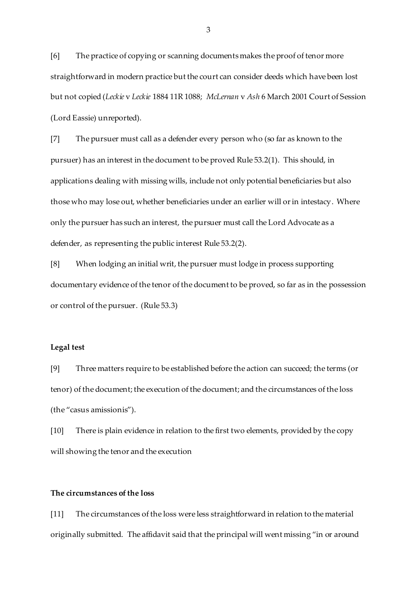[6] The practice of copying or scanning documents makes the proof of tenor more straightforward in modern practice but the court can consider deeds which have been lost but not copied (*Leckie* v *Leckie* 1884 11R 1088; *McLernan* v *Ash* 6 March 2001 Court of Session (Lord Eassie) unreported).

[7] The pursuer must call as a defender every person who (so far as known to the pursuer) has an interest in the document to be proved Rule 53.2(1). This should, in applications dealing with missing wills, include not only potential beneficiaries but also those who may lose out, whether beneficiaries under an earlier will or in intestacy. Where only the pursuer has such an interest, the pursuer must call the Lord Advocate as a defender, as representing the public interest Rule 53.2(2).

[8] When lodging an initial writ, the pursuer must lodge in process supporting documentary evidence of the tenor of the document to be proved, so far as in the possession or control of the pursuer. (Rule 53.3)

#### **Legal test**

[9] Three matters require to be established before the action can succeed; the terms (or tenor) of the document; the execution of the document; and the circumstances of the loss (the "casus amissionis").

[10] There is plain evidence in relation to the first two elements, provided by the copy will showing the tenor and the execution

# **The circumstances of the loss**

[11] The circumstances of the loss were less straightforward in relation to the material originally submitted. The affidavit said that the principal will went missing "in or around

3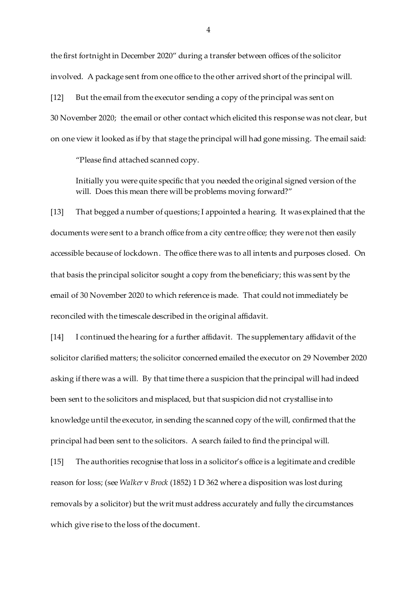the first fortnight in December 2020" during a transfer between offices of the solicitor involved. A package sent from one office to the other arrived short of the principal will. [12] But the email from the executor sending a copy of the principal was sent on

30 November 2020; the email or other contact which elicited this response was not clear, but on one view it looked as if by that stage the principal will had gone missing. The email said:

"Please find attached scanned copy.

Initially you were quite specific that you needed the original signed version of the will. Does this mean there will be problems moving forward?"

[13] That begged a number of questions; I appointed a hearing. It was explained that the documents were sent to a branch office from a city centre office; they were not then easily accessible because of lockdown. The office there was to all intents and purposes closed. On that basis the principal solicitor sought a copy from the beneficiary; this was sent by the email of 30 November 2020 to which reference is made. That could not immediately be reconciled with the timescale described in the original affidavit.

[14] I continued the hearing for a further affidavit. The supplementary affidavit of the solicitor clarified matters; the solicitor concerned emailed the executor on 29 November 2020 asking if there was a will. By that time there a suspicion that the principal will had indeed been sent to the solicitors and misplaced, but that suspicion did not crystallise into knowledge until the executor, in sending the scanned copy of the will, confirmed that the principal had been sent to the solicitors. A search failed to find the principal will.

[15] The authorities recognise that loss in a solicitor's office is a legitimate and credible reason for loss; (see *Walker* v *Brock* (1852) 1 D 362 where a disposition was lost during removals by a solicitor) but the writ must address accurately and fully the circumstances which give rise to the loss of the document.

4